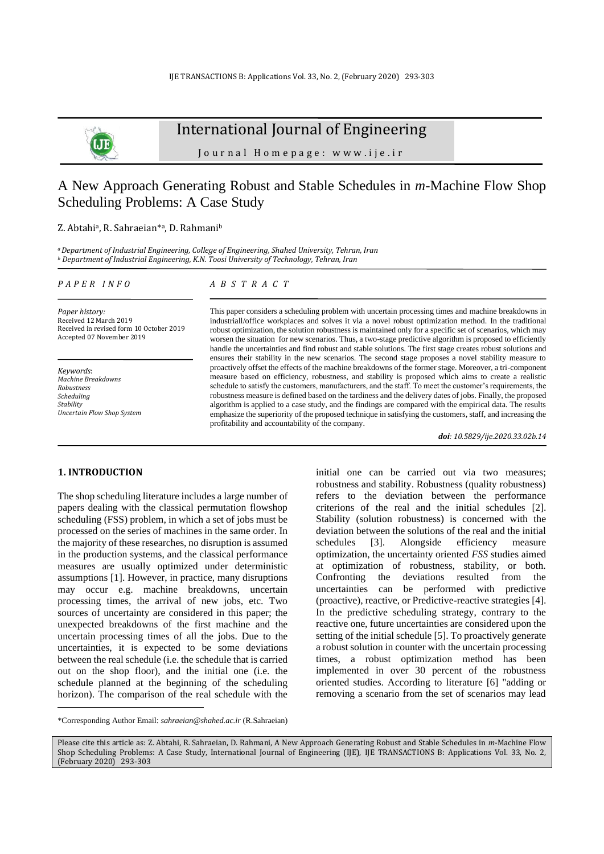

## International Journal of Engineering

J o u r n a l H o m e p a g e : w w w . i j e . i r

# A New Approach Generating Robust and Stable Schedules in *m*-Machine Flow Shop Scheduling Problems: A Case Study

### Z. Abtahiª, R. Sahraeian\*ª, D. Rahmanib

*<sup>a</sup>Department of Industrial Engineering, College of Engineering, Shahed University, Tehran, Iran <sup>b</sup> Department of Industrial Engineering, K.N. Toosi University of Technology, Tehran, Iran*

### *P A P E R I N F O*

*Paper history:* Received 12 March 2019 Received in revised form 10 October 2019 Accepted 07 November 2019

*Keywords*: *Machine Breakdowns Robustness Scheduling Stability Uncertain Flow Shop System*

## *A B S T R A C T*

This paper considers a scheduling problem with uncertain processing times and machine breakdowns in industriall/office workplaces and solves it via a novel robust optimization method. In the traditional robust optimization, the solution robustness is maintained only for a specific set of scenarios, which may worsen the situation for new scenarios. Thus, a two-stage predictive algorithm is proposed to efficiently handle the uncertainties and find robust and stable solutions. The first stage creates robust solutions and ensures their stability in the new scenarios. The second stage proposes a novel stability measure to proactively offset the effects of the machine breakdowns of the former stage. Moreover, a tri-component measure based on efficiency, robustness, and stability is proposed which aims to create a realistic schedule to satisfy the customers, manufacturers, and the staff. To meet the customer's requirements, the robustness measure is defined based on the tardiness and the delivery dates of jobs. Finally, the proposed algorithm is applied to a case study, and the findings are compared with the empirical data. The results emphasize the superiority of the proposed technique in satisfying the customers, staff, and increasing the profitability and accountability of the company.

*doi: 10.5829/ije.2020.33.02b.14*

## **1. INTRODUCTION<sup>1</sup>**

The shop scheduling literature includes a large number of papers dealing with the classical permutation flowshop scheduling (FSS) problem, in which a set of jobs must be processed on the series of machines in the same order. In the majority of these researches, no disruption is assumed in the production systems, and the classical performance measures are usually optimized under deterministic assumptions [1]. However, in practice, many disruptions may occur e.g. machine breakdowns, uncertain processing times, the arrival of new jobs, etc. Two sources of uncertainty are considered in this paper; the unexpected breakdowns of the first machine and the uncertain processing times of all the jobs. Due to the uncertainties, it is expected to be some deviations between the real schedule (i.e. the schedule that is carried out on the shop floor), and the initial one (i.e. the schedule planned at the beginning of the scheduling horizon). The comparison of the real schedule with the initial one can be carried out via two measures; robustness and stability. Robustness (quality robustness) refers to the deviation between the performance criterions of the real and the initial schedules [2]. Stability (solution robustness) is concerned with the deviation between the solutions of the real and the initial schedules [3]. Alongside efficiency measure optimization, the uncertainty oriented *FSS* studies aimed at optimization of robustness, stability, or both. Confronting the deviations resulted from the uncertainties can be performed with predictive (proactive), reactive, or Predictive-reactive strategies [4]. In the predictive scheduling strategy, contrary to the reactive one, future uncertainties are considered upon the setting of the initial schedule [5]. To proactively generate a robust solution in counter with the uncertain processing times, a robust optimization method has been implemented in over 30 percent of the robustness oriented studies. According to literature [6] "adding or removing a scenario from the set of scenarios may lead

<sup>\*</sup>Corresponding Author Email: *[sahraeian@shahed.ac.ir](mailto:sahraeian@shahed.ac.ir)* (R.Sahraeian)

Please cite this article as: Z. Abtahi, R. Sahraeian, D. Rahmani, A New Approach Generating Robust and Stable Schedules in *m*-Machine Flow Shop Scheduling Problems: A Case Study, International Journal of Engineering (IJE), IJE TRANSACTIONS B: Applications Vol. 33, No. 2, (February 2020) 293-303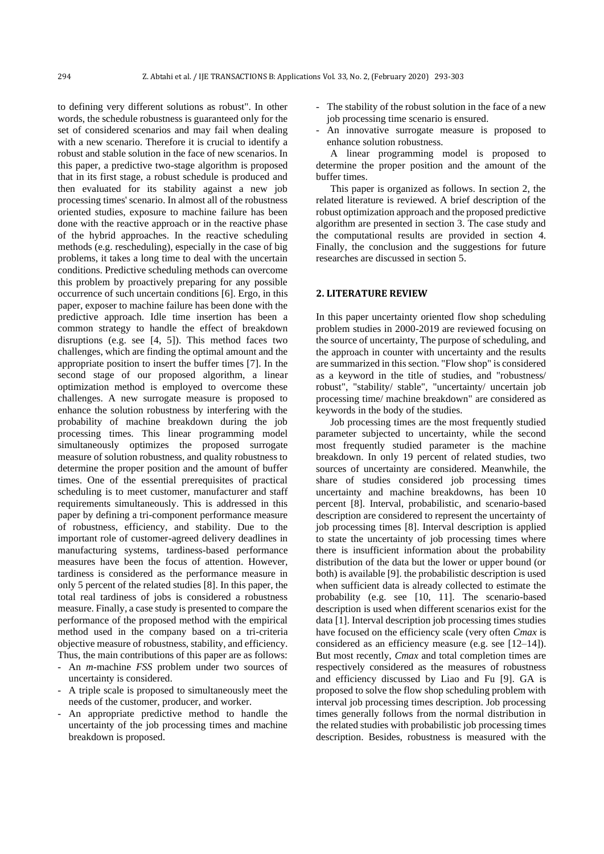to defining very different solutions as robust". In other words, the schedule robustness is guaranteed only for the set of considered scenarios and may fail when dealing with a new scenario. Therefore it is crucial to identify a robust and stable solution in the face of new scenarios. In this paper, a predictive two-stage algorithm is proposed that in its first stage, a robust schedule is produced and then evaluated for its stability against a new job processing times' scenario. In almost all of the robustness oriented studies, exposure to machine failure has been done with the reactive approach or in the reactive phase of the hybrid approaches. In the reactive scheduling methods (e.g. rescheduling), especially in the case of big problems, it takes a long time to deal with the uncertain conditions. Predictive scheduling methods can overcome this problem by proactively preparing for any possible occurrence of such uncertain conditions [6]. Ergo, in this paper, exposer to machine failure has been done with the predictive approach. Idle time insertion has been a common strategy to handle the effect of breakdown disruptions (e.g. see [4, 5]). This method faces two challenges, which are finding the optimal amount and the appropriate position to insert the buffer times [7]. In the second stage of our proposed algorithm, a linear optimization method is employed to overcome these challenges. A new surrogate measure is proposed to enhance the solution robustness by interfering with the probability of machine breakdown during the job processing times. This linear programming model simultaneously optimizes the proposed surrogate measure of solution robustness, and quality robustness to determine the proper position and the amount of buffer times. One of the essential prerequisites of practical scheduling is to meet customer, manufacturer and staff requirements simultaneously. This is addressed in this paper by defining a tri-component performance measure of robustness, efficiency, and stability. Due to the important role of customer-agreed delivery deadlines in manufacturing systems, tardiness-based performance measures have been the focus of attention. However, tardiness is considered as the performance measure in only 5 percent of the related studies [8]. In this paper, the total real tardiness of jobs is considered a robustness measure. Finally, a case study is presented to compare the performance of the proposed method with the empirical method used in the company based on a tri-criteria objective measure of robustness, stability, and efficiency. Thus, the main contributions of this paper are as follows:

- An *m*-machine *FSS* problem under two sources of uncertainty is considered.
- A triple scale is proposed to simultaneously meet the needs of the customer, producer, and worker.
- An appropriate predictive method to handle the uncertainty of the job processing times and machine breakdown is proposed.
- The stability of the robust solution in the face of a new job processing time scenario is ensured.
- An innovative surrogate measure is proposed to enhance solution robustness.

A linear programming model is proposed to determine the proper position and the amount of the buffer times.

This paper is organized as follows. In section 2, the related literature is reviewed. A brief description of the robust optimization approach and the proposed predictive algorithm are presented in section 3. The case study and the computational results are provided in section 4. Finally, the conclusion and the suggestions for future researches are discussed in section 5.

## **2. LITERATURE REVIEW**

In this paper uncertainty oriented flow shop scheduling problem studies in 2000-2019 are reviewed focusing on the source of uncertainty, The purpose of scheduling, and the approach in counter with uncertainty and the results are summarized in this section. "Flow shop" is considered as a keyword in the title of studies, and "robustness/ robust", "stability/ stable", "uncertainty/ uncertain job processing time/ machine breakdown" are considered as keywords in the body of the studies.

Job processing times are the most frequently studied parameter subjected to uncertainty, while the second most frequently studied parameter is the machine breakdown. In only 19 percent of related studies, two sources of uncertainty are considered. Meanwhile, the share of studies considered job processing times uncertainty and machine breakdowns, has been 10 percent [8]. Interval, probabilistic, and scenario-based description are considered to represent the uncertainty of job processing times [8]. Interval description is applied to state the uncertainty of job processing times where there is insufficient information about the probability distribution of the data but the lower or upper bound (or both) is available [9]. the probabilistic description is used when sufficient data is already collected to estimate the probability (e.g. see [10, 11]. The scenario-based description is used when different scenarios exist for the data [1]. Interval description job processing times studies have focused on the efficiency scale (very often *Cmax* is considered as an efficiency measure (e.g. see [12–14]). But most recently, *Cmax* and total completion times are respectively considered as the measures of robustness and efficiency discussed by Liao and Fu [9]. GA is proposed to solve the flow shop scheduling problem with interval job processing times description. Job processing times generally follows from the normal distribution in the related studies with probabilistic job processing times description. Besides, robustness is measured with the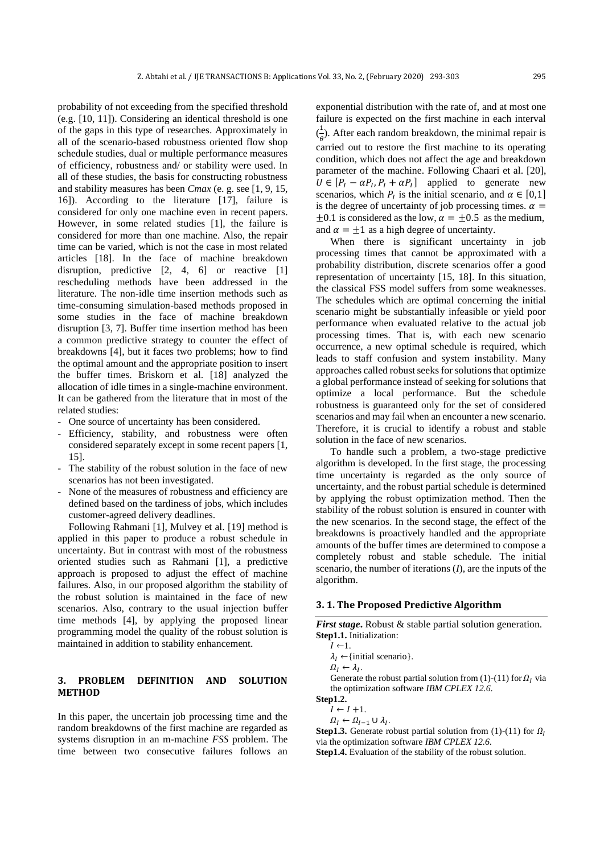probability of not exceeding from the specified threshold (e.g. [10, 11]). Considering an identical threshold is one of the gaps in this type of researches. Approximately in all of the scenario-based robustness oriented flow shop schedule studies, dual or multiple performance measures of efficiency, robustness and/ or stability were used. In all of these studies, the basis for constructing robustness and stability measures has been *Cmax* (e. g. see [1, 9, 15, 16]). According to the literature [17], failure is considered for only one machine even in recent papers. However, in some related studies [1], the failure is considered for more than one machine. Also, the repair time can be varied, which is not the case in most related articles [18]. In the face of machine breakdown disruption, predictive [2, 4, 6] or reactive [1] rescheduling methods have been addressed in the literature. The non-idle time insertion methods such as time-consuming simulation-based methods proposed in some studies in the face of machine breakdown disruption [3, 7]. Buffer time insertion method has been a common predictive strategy to counter the effect of breakdowns [4], but it faces two problems; how to find the optimal amount and the appropriate position to insert the buffer times. Briskorn et al. [18] analyzed the allocation of idle times in a single-machine environment. It can be gathered from the literature that in most of the related studies:

- One source of uncertainty has been considered.
- Efficiency, stability, and robustness were often considered separately except in some recent papers [1, 15].
- The stability of the robust solution in the face of new scenarios has not been investigated.
- None of the measures of robustness and efficiency are defined based on the tardiness of jobs, which includes customer-agreed delivery deadlines.

Following Rahmani [1], Mulvey et al. [19] method is applied in this paper to produce a robust schedule in uncertainty. But in contrast with most of the robustness oriented studies such as Rahmani [1], a predictive approach is proposed to adjust the effect of machine failures. Also, in our proposed algorithm the stability of the robust solution is maintained in the face of new scenarios. Also, contrary to the usual injection buffer time methods [4], by applying the proposed linear programming model the quality of the robust solution is maintained in addition to stability enhancement.

## **3. PROBLEM DEFINITION AND SOLUTION METHOD**

In this paper, the uncertain job processing time and the random breakdowns of the first machine are regarded as systems disruption in an m-machine *FSS* problem. The time between two consecutive failures follows an exponential distribution with the rate of, and at most one failure is expected on the first machine in each interval  $\left(\frac{1}{a}\right)$  $\frac{1}{\theta}$ ). After each random breakdown, the minimal repair is carried out to restore the first machine to its operating condition, which does not affect the age and breakdown parameter of the machine. Following Chaari et al. [20],  $U \in [P_I - \alpha P_I, P_I + \alpha P_I]$  applied to generate new scenarios, which  $P<sub>I</sub>$  is the initial scenario, and  $\alpha \in [0,1]$ is the degree of uncertainty of job processing times.  $\alpha$  =  $\pm 0.1$  is considered as the low,  $\alpha = \pm 0.5$  as the medium, and  $\alpha = \pm 1$  as a high degree of uncertainty.

When there is significant uncertainty in job processing times that cannot be approximated with a probability distribution, discrete scenarios offer a good representation of uncertainty [15, 18]. In this situation, the classical FSS model suffers from some weaknesses. The schedules which are optimal concerning the initial scenario might be substantially infeasible or yield poor performance when evaluated relative to the actual job processing times. That is, with each new scenario occurrence, a new optimal schedule is required, which leads to staff confusion and system instability. Many approaches called robust seeks for solutions that optimize a global performance instead of seeking for solutions that optimize a local performance. But the schedule robustness is guaranteed only for the set of considered scenarios and may fail when an encounter a new scenario. Therefore, it is crucial to identify a robust and stable solution in the face of new scenarios.

To handle such a problem, a two-stage predictive algorithm is developed. In the first stage, the processing time uncertainty is regarded as the only source of uncertainty, and the robust partial schedule is determined by applying the robust optimization method. Then the stability of the robust solution is ensured in counter with the new scenarios. In the second stage, the effect of the breakdowns is proactively handled and the appropriate amounts of the buffer times are determined to compose a completely robust and stable schedule. The initial scenario, the number of iterations (*I*), are the inputs of the algorithm.

#### **3. 1. The Proposed Predictive Algorithm**

*First stage*. Robust & stable partial solution generation. **Step1.1.** Initialization:

- $\lambda_I \leftarrow \{$ initial scenario}.
- $\Omega_I \leftarrow \lambda_I.$

Generate the robust partial solution from (1)-(11) for  $\Omega_I$  via the optimization software *IBM CPLEX 12.6.*

**Step1.2.**

- $I \leftarrow I + 1.$
- $\Omega_I \leftarrow \Omega_{I-1} \cup \lambda_I.$

**Step1.3.** Generate robust partial solution from (1)-(11) for  $\Omega_I$ via the optimization software *IBM CPLEX 12.6.*

**Step1.4.** Evaluation of the stability of the robust solution.

 $I \leftarrow 1$ .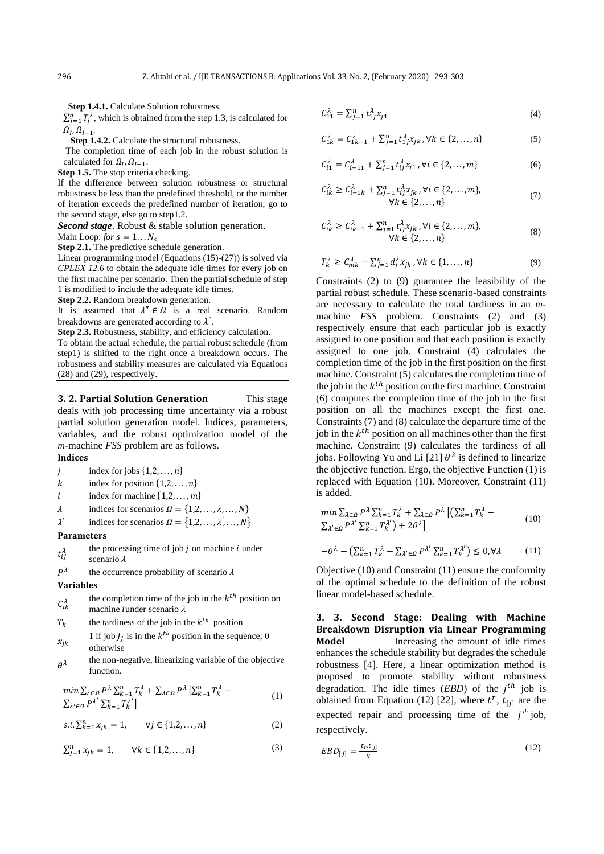**Step 1.4.1.** Calculate Solution robustness.

 $\sum_{j=1}^{n} T_j^{\lambda}$ , which is obtained from the step 1.3, is calculated for  $\Omega_I, \Omega_{I-1}.$ 

 **Step 1.4.2.** Calculate the structural robustness.

The completion time of each job in the robust solution is calculated for  $\Omega_I, \Omega_{I-1}$ .

**Step 1.5.** The stop criteria checking.

If the difference between solution robustness or structural robustness be less than the predefined threshold, or the number of iteration exceeds the predefined number of iteration, go to the second stage, else go to step1.2.

*Second stage*. Robust & stable solution generation.

Main Loop: *for*  $s = 1...N_c$ 

**Step 2.1.** The predictive schedule generation.

Linear programming model (Equations (15)-(27)) is solved via *CPLEX 12.6* to obtain the adequate idle times for every job on the first machine per scenario. Then the partial schedule of step 1 is modified to include the adequate idle times.

**Step 2.2.** Random breakdown generation.

It is assumed that  $\lambda'' \in \Omega$  is a real scenario. Random breakdowns are generated according to *″* .

**Step 2.3.** Robustness, stability, and efficiency calculation.

To obtain the actual schedule, the partial robust schedule (from step1) is shifted to the right once a breakdown occurs. The robustness and stability measures are calculated via Equations (28) and (29), respectively.

**3. 2. Partial Solution Generation** This stage deals with job processing time uncertainty via a robust partial solution generation model. Indices, parameters, variables, and the robust optimization model of the *m-*machine *FSS* problem are as follows.

#### **Indices**

- j index for jobs  $\{1,2,\ldots,n\}$
- k index for position  $\{1,2,\ldots,n\}$
- i index for machine  $\{1,2,\ldots,m\}$
- $\lambda$  indices for scenarios  $\Omega = \{1, 2, ..., \lambda, ..., N\}$
- *′* indices for scenarios  $\Omega = \{1, 2, \ldots, \lambda', \ldots, N\}$

#### **Parameters**

 $t_{ii}^{\lambda}$ the processing time of job  $j$  on machine  $i$  under scenario  $\lambda$ 

 $P^{\lambda}$ the occurrence probability of scenario  $\lambda$ 

#### **Variables**

- $\mathcal{C}^{\lambda}_{ik}$ the completion time of the job in the  $k^{th}$  position on machine iunder scenario  $\lambda$
- $T_k$  the tardiness of the job in the  $k^{th}$  position
- $x_{ik}$ 1 if job  $J_j$  is in the  $k^{th}$  position in the sequence; 0 otherwise
- $\theta^{\lambda}$ the non-negative, linearizing variable of the objective function.

$$
\min \sum_{\lambda \in \Omega} P^{\lambda} \sum_{k=1}^{n} T_k^{\lambda} + \sum_{\lambda \in \Omega} P^{\lambda} \left| \sum_{k=1}^{n} T_k^{\lambda} - \sum_{\lambda' \in \Omega} P^{\lambda'} \sum_{k=1}^{n} T_k^{\lambda'} \right| \tag{1}
$$

$$
s.t. \sum_{k=1}^{n} x_{jk} = 1, \qquad \forall j \in \{1, 2, ..., n\}
$$
 (2)

$$
\sum_{j=1}^{n} x_{jk} = 1, \qquad \forall k \in \{1, 2, ..., n\}
$$
 (3)

$$
\mathcal{C}_{11}^{\lambda} = \sum_{j=1}^{n} t_{1j}^{\lambda} x_{j1} \tag{4}
$$

$$
C_{1k}^{\lambda} = C_{1k-1}^{\lambda} + \sum_{j=1}^{n} t_{1j}^{\lambda} x_{jk}, \forall k \in \{2, ..., n\}
$$
 (5)

$$
C_{i1}^{\lambda} = C_{i-11}^{\lambda} + \sum_{j=1}^{n} t_{ij}^{\lambda} x_{j1}, \forall i \in \{2, ..., m\}
$$
 (6)

$$
C_{ik}^{\lambda} \ge C_{i-1k}^{\lambda} + \sum_{j=1}^{n} t_{ij}^{\lambda} x_{jk}, \forall i \in \{2, ..., m\},
$$
  

$$
\forall k \in \{2, ..., n\}
$$
 (7)

$$
C_{ik}^{\lambda} \ge C_{ik-1}^{\lambda} + \sum_{j=1}^{n} t_{ij}^{\lambda} x_{jk}, \forall i \in \{2, ..., m\},
$$
  

$$
\forall k \in \{2, ..., n\}
$$
 (8)

$$
T_k^{\lambda} \ge C_{mk}^{\lambda} - \sum_{j=1}^n d_j^{\lambda} x_{jk}, \forall k \in \{1, ..., n\}
$$
 (9)

Constraints (2) to (9) guarantee the feasibility of the partial robust schedule. These scenario-based constraints are necessary to calculate the total tardiness in an *m*machine *FSS* problem. Constraints (2) and (3) respectively ensure that each particular job is exactly assigned to one position and that each position is exactly assigned to one job. Constraint (4) calculates the completion time of the job in the first position on the first machine. Constraint (5) calculates the completion time of the job in the  $k^{th}$  position on the first machine. Constraint (6) computes the completion time of the job in the first position on all the machines except the first one. Constraints (7) and (8) calculate the departure time of the job in the  $k^{th}$  position on all machines other than the first machine. Constraint (9) calculates the tardiness of all jobs. Following Yu and Li [21]  $\theta^{\lambda}$  is defined to linearize the objective function. Ergo, the objective Function (1) is replaced with Equation (10). Moreover, Constraint (11) is added.

$$
\min \sum_{\lambda \in \Omega} P^{\lambda} \sum_{k=1}^{n} T_{k}^{\lambda} + \sum_{\lambda \in \Omega} P^{\lambda} \left[ \left( \sum_{k=1}^{n} T_{k}^{\lambda} - \sum_{\lambda' \in \Omega} P^{\lambda'} \sum_{k=1}^{n} T_{k}^{\lambda'} \right) + 2\theta^{\lambda} \right]
$$
\n
$$
(10)
$$

$$
-\theta^{\lambda} - \left(\sum_{k=1}^{n} T_k^{\lambda} - \sum_{\lambda' \in \Omega} P^{\lambda'} \sum_{k=1}^{n} T_k^{\lambda'}\right) \le 0, \forall \lambda \tag{11}
$$

Objective (10) and Constraint (11) ensure the conformity of the optimal schedule to the definition of the robust linear model-based schedule.

**3. 3. Second Stage: Dealing with Machine Breakdown Disruption via Linear Programming Model** Increasing the amount of idle times enhances the schedule stability but degrades the schedule robustness [4]. Here, a linear optimization method is proposed to promote stability without robustness degradation. The idle times  $(EBD)$  of the  $j<sup>th</sup>$  job is obtained from Equation (12) [22], where  $t^r$ ,  $t_{[j]}$  are the expected repair and processing time of the  $j<sup>th</sup>$  job, respectively.

$$
EBD_{[j]} = \frac{t_r \cdot t_{[j]}}{\theta} \tag{12}
$$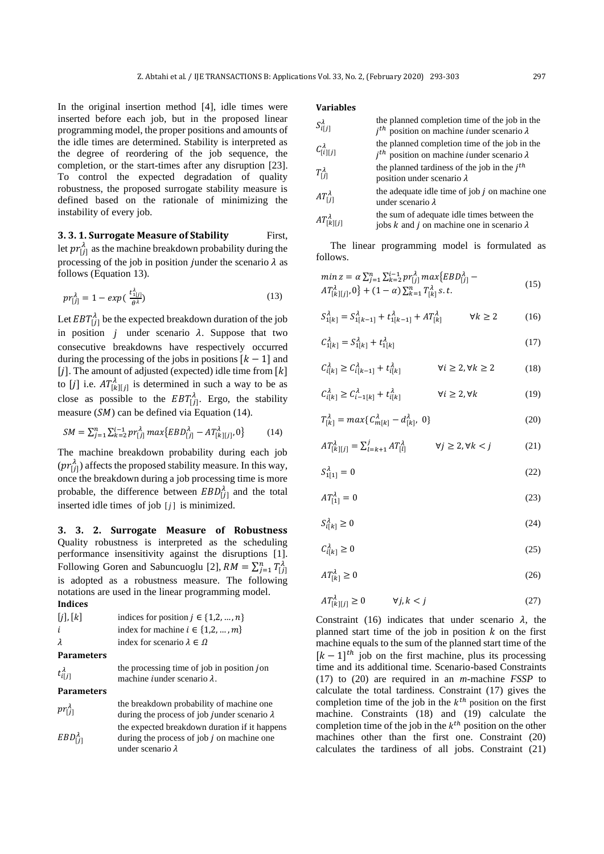In the original insertion method [4], idle times were inserted before each job, but in the proposed linear programming model, the proper positions and amounts of the idle times are determined. Stability is interpreted as the degree of reordering of the job sequence, the completion, or the start-times after any disruption [23]. To control the expected degradation of quality robustness, the proposed surrogate stability measure is defined based on the rationale of minimizing the instability of every job.

**3. 3. 1. Surrogate Measure of Stability First,** let  $pr_{[j]}^{\lambda}$  as the machine breakdown probability during the processing of the job in position junder the scenario  $\lambda$  as follows (Equation 13).

$$
pr_{[j]}^{\lambda} = 1 - exp(\frac{t_{1j}^{\lambda}}{\theta^{\lambda}})
$$
 (13)

Let  $EBT^{\lambda}_{[j]}$  be the expected breakdown duration of the job in position  $j$  under scenario  $\lambda$ . Suppose that two consecutive breakdowns have respectively occurred during the processing of the jobs in positions  $[k - 1]$  and [j]. The amount of adjusted (expected) idle time from  $[k]$ to [j] i.e.  $AT^{\lambda}_{[k][j]}$  is determined in such a way to be as close as possible to the  $EBT_{[j]}^{\lambda}$ . Ergo, the stability measure  $(SM)$  can be defined via Equation (14).

$$
SM = \sum_{j=1}^{n} \sum_{k=2}^{i-1} p r_{[j]}^{\lambda} \max\{EBD_{[j]}^{\lambda} - AT_{[k][j]}^{\lambda}, 0\}
$$
 (14)

The machine breakdown probability during each job  $(pr_{[j]}^{\lambda})$  affects the proposed stability measure. In this way, once the breakdown during a job processing time is more probable, the difference between  $EBD_{[j]}^{\lambda}$  and the total inserted idle times of job  $[j]$  is minimized.

**3. 3. 2. Surrogate Measure of Robustness**  Quality robustness is interpreted as the scheduling performance insensitivity against the disruptions [1]. Following Goren and Sabuncuoglu [2],  $RM = \sum_{j=1}^{n} T_{[j]}^{\lambda}$ is adopted as a robustness measure. The following notations are used in the linear programming model. **Indices**

| [j], [k] | indices for position $j \in \{1,2,,n\}$ |  |  |  |  |
|----------|-----------------------------------------|--|--|--|--|
|          | index for machine $i \in \{1,2,,m\}$    |  |  |  |  |
| λ        | index for scenario $\lambda \in \Omega$ |  |  |  |  |

```
Parameters
```
 $t_{\parallel ij}^{\lambda}$ 

the processing time of job in position jon machine *i*under scenario  $\lambda$ .

**Parameters**

| $pr_{[j]}^{\lambda}$  | the breakdown probability of machine one<br>during the process of job junder scenario $\lambda$                           |
|-----------------------|---------------------------------------------------------------------------------------------------------------------------|
| $EBD_{[j]}^{\lambda}$ | the expected breakdown duration if it happens<br>during the process of job $j$ on machine one<br>under scenario $\lambda$ |

#### **Variables**

| $S^{\lambda}_{i\restriction j\restriction}$ | the planned completion time of the job in the<br>$i^{th}$ position on machine <i>i</i> under scenario $\lambda$ |
|---------------------------------------------|-----------------------------------------------------------------------------------------------------------------|
| $C^{\lambda}_{[i][j]}$                      | the planned completion time of the job in the<br>$jth$ position on machine <i>i</i> under scenario $\lambda$    |
| $T_{\text{fil}}^{\lambda}$                  | the planned tardiness of the job in the $jth$<br>position under scenario $\lambda$                              |
| $AT^{\lambda}_{11}$                         | the adequate idle time of job $j$ on machine one<br>under scenario $\lambda$                                    |
| $AT_{[k][j]}^{\lambda}$                     | the sum of adequate idle times between the<br>jobs k and j on machine one in scenario $\lambda$                 |

The linear programming model is formulated as follows.

$$
min z = \alpha \sum_{j=1}^{n} \sum_{k=2}^{i-1} pr_{[j]}^{\lambda} max\{EBD_{[j]}^{\lambda} - AT_{[k][j]}^{\lambda} \alpha\}
$$
  

$$
AT_{[k][j]}^{\lambda}, 0 \} + (1 - \alpha) \sum_{k=1}^{n} T_{[k]}^{\lambda} s.t.
$$
 (15)

$$
S_{1[k]}^{\lambda} = S_{1[k-1]}^{\lambda} + t_{1[k-1]}^{\lambda} + A T_{[k]}^{\lambda} \qquad \forall k \ge 2
$$
 (16)

$$
C_{1[k]}^{\lambda} = S_{1[k]}^{\lambda} + t_{1[k]}^{\lambda}
$$
 (17)

$$
C_{i[k]}^{\lambda} \ge C_{i[k-1]}^{\lambda} + t_{i[k]}^{\lambda} \qquad \forall i \ge 2, \forall k \ge 2 \qquad (18)
$$

$$
C_{i[k]}^{\lambda} \ge C_{i-1[k]}^{\lambda} + t_{i[k]}^{\lambda} \qquad \forall i \ge 2, \forall k
$$
 (19)

$$
T_{[k]}^{\lambda} = \max\{C_{m[k]}^{\lambda} - d_{[k]}^{\lambda}, 0\}
$$
 (20)

$$
AT_{[k][j]}^{\lambda} = \sum_{l=k+1}^{j} AT_{[l]}^{\lambda} \qquad \forall j \ge 2, \forall k < j \tag{21}
$$

$$
S_{1[1]}^{\lambda} = 0 \tag{22}
$$

$$
AT_{[1]}^{\lambda} = 0 \tag{23}
$$

$$
S_{i[k]}^{\lambda} \ge 0 \tag{24}
$$

$$
\mathcal{C}_{i[k]}^{\lambda} \ge 0 \tag{25}
$$

$$
AT_{[k]}^{\lambda} \ge 0 \tag{26}
$$

$$
AT_{[k][j]}^{\lambda} \ge 0 \qquad \forall j, k < j \tag{27}
$$

Constraint (16) indicates that under scenario  $\lambda$ , the planned start time of the job in position  $k$  on the first machine equals to the sum of the planned start time of the  $[k-1]$ <sup>th</sup> job on the first machine, plus its processing time and its additional time. Scenario-based Constraints (17) to (20) are required in an *m*-machine *FSSP* to calculate the total tardiness. Constraint (17) gives the completion time of the job in the  $k^{th}$  position on the first machine. Constraints (18) and (19) calculate the completion time of the job in the  $k^{th}$  position on the other machines other than the first one. Constraint (20) calculates the tardiness of all jobs. Constraint (21)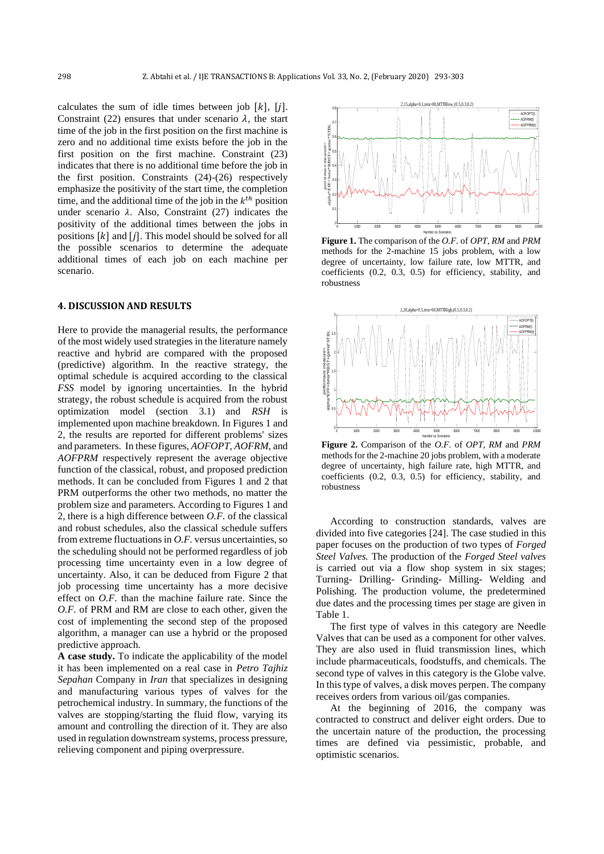calculates the sum of idle times between job  $[k]$ ,  $[i]$ . Constraint (22) ensures that under scenario  $\lambda$ , the start time of the job in the first position on the first machine is zero and no additional time exists before the job in the first position on the first machine. Constraint (23) indicates that there is no additional time before the job in the first position. Constraints (24)-(26) respectively emphasize the positivity of the start time, the completion time, and the additional time of the job in the  $k^{th}$  position under scenario  $\lambda$ . Also, Constraint (27) indicates the positivity of the additional times between the jobs in positions  $[k]$  and  $[j]$ . This model should be solved for all the possible scenarios to determine the adequate additional times of each job on each machine per scenario.

### **4. DISCUSSION AND RESULTS**

Here to provide the managerial results, the performance of the most widely used strategies in the literature namely reactive and hybrid are compared with the proposed (predictive) algorithm. In the reactive strategy, the optimal schedule is acquired according to the classical *FSS* model by ignoring uncertainties. In the hybrid strategy, the robust schedule is acquired from the robust optimization model (section 3.1) and *RSH* is implemented upon machine breakdown. In Figures 1 and 2, the results are reported for different problems' sizes and parameters. In these figures, *AOFOPT*, *AOFRM*, and *AOFPRM* respectively represent the average objective function of the classical, robust, and proposed prediction methods. It can be concluded from Figures 1 and 2 that PRM outperforms the other two methods, no matter the problem size and parameters. According to Figures 1 and 2, there is a high difference between *O.F.* of the classical and robust schedules, also the classical schedule suffers from extreme fluctuations in *O.F.* versus uncertainties, so the scheduling should not be performed regardless of job processing time uncertainty even in a low degree of uncertainty. Also, it can be deduced from Figure 2 that job processing time uncertainty has a more decisive effect on *O.F.* than the machine failure rate. Since the *O.F.* of PRM and RM are close to each other, given the cost of implementing the second step of the proposed algorithm, a manager can use a hybrid or the proposed predictive approach.

**A case study.** To indicate the applicability of the model it has been implemented on a real case in *Petro Tajhiz Sepahan* Company in *Iran* that specializes in designing and manufacturing various types of valves for the petrochemical industry. In summary, the functions of the valves are stopping/starting the fluid flow, varying its amount and controlling the direction of it. They are also used in regulation downstream systems, process pressure, relieving component and piping overpressure.



**Figure 1.** The comparison of the *O.F.* of *OPT, RM* and *PRM* methods for the 2-machine 15 jobs problem, with a low degree of uncertainty, low failure rate, low MTTR, and coefficients (0.2, 0.3, 0.5) for efficiency, stability, and robustness



**Figure 2.** Comparison of the *O.F.* of *OPT, RM* and *PRM* methods for the 2-machine 20 jobs problem, with a moderate degree of uncertainty, high failure rate, high MTTR, and coefficients (0.2, 0.3, 0.5) for efficiency, stability, and robustness

According to construction standards, valves are divided into five categories [24]. The case studied in this paper focuses on the production of two types of *Forged Steel Valves.* The production of the *Forged Steel valves* is carried out via a flow shop system in six stages; Turning- Drilling- Grinding- Milling- Welding and Polishing. The production volume, the predetermined due dates and the processing times per stage are given in Table 1.

The first type of valves in this category are Needle Valves that can be used as a component for other valves. They are also used in fluid transmission lines, which include pharmaceuticals, foodstuffs, and chemicals. The second type of valves in this category is the Globe valve. In this type of valves, a disk moves perpen. The company receives orders from various oil/gas companies.

At the beginning of 2016, the company was contracted to construct and deliver eight orders. Due to the uncertain nature of the production, the processing times are defined via pessimistic, probable, and optimistic scenarios.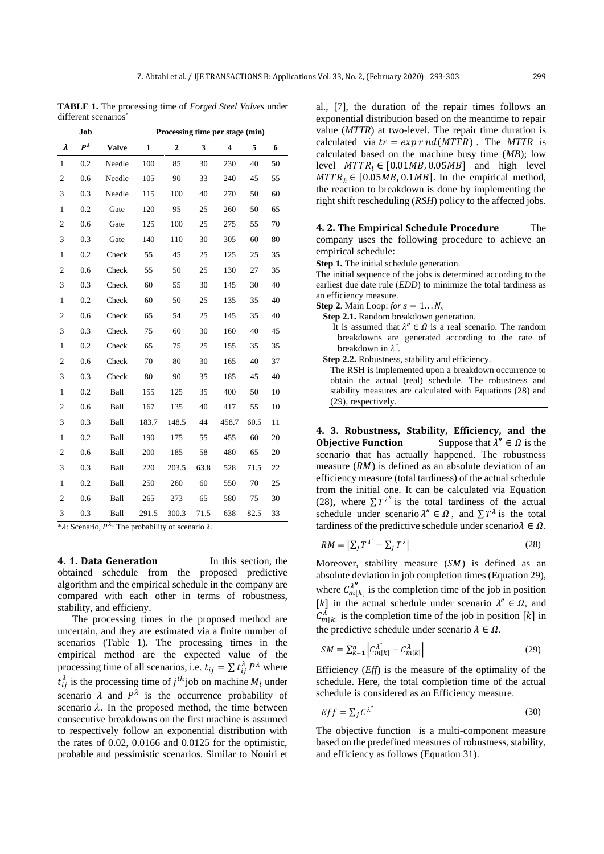**TABLE 1.** The processing time of *Forged Steel Valves* under different scenarios\*

|                         | Job           | Processing time per stage (min) |              |                  |      |                         |      |    |
|-------------------------|---------------|---------------------------------|--------------|------------------|------|-------------------------|------|----|
| λ                       | $P^{\lambda}$ | <b>Valve</b>                    | $\mathbf{1}$ | $\boldsymbol{2}$ | 3    | $\overline{\mathbf{4}}$ | 5    | 6  |
| $\mathbf{1}$            | 0.2           | Needle                          | 100          | 85               | 30   | 230                     | 40   | 50 |
| $\overline{\mathbf{c}}$ | 0.6           | Needle                          | 105          | 90               | 33   | 240                     | 45   | 55 |
| 3                       | 0.3           | Needle                          | 115          | 100              | 40   | 270                     | 50   | 60 |
| $\mathbf{1}$            | 0.2           | Gate                            | 120          | 95               | 25   | 260                     | 50   | 65 |
| $\overline{c}$          | 0.6           | Gate                            | 125          | 100              | 25   | 275                     | 55   | 70 |
| 3                       | 0.3           | Gate                            | 140          | 110              | 30   | 305                     | 60   | 80 |
| $\mathbf{1}$            | 0.2           | Check                           | 55           | 45               | 25   | 125                     | 25   | 35 |
| $\overline{\mathbf{c}}$ | 0.6           | Check                           | 55           | 50               | 25   | 130                     | 27   | 35 |
| 3                       | 0.3           | Check                           | 60           | 55               | 30   | 145                     | 30   | 40 |
| $\mathbf{1}$            | 0.2           | Check                           | 60           | 50               | 25   | 135                     | 35   | 40 |
| $\overline{c}$          | 0.6           | Check                           | 65           | 54               | 25   | 145                     | 35   | 40 |
| 3                       | 0.3           | Check                           | 75           | 60               | 30   | 160                     | 40   | 45 |
| $\mathbf{1}$            | 0.2           | Check                           | 65           | 75               | 25   | 155                     | 35   | 35 |
| $\overline{c}$          | 0.6           | Check                           | 70           | 80               | 30   | 165                     | 40   | 37 |
| 3                       | 0.3           | Check                           | 80           | 90               | 35   | 185                     | 45   | 40 |
| $\mathbf{1}$            | 0.2           | Ball                            | 155          | 125              | 35   | 400                     | 50   | 10 |
| $\overline{c}$          | 0.6           | Ball                            | 167          | 135              | 40   | 417                     | 55   | 10 |
| 3                       | 0.3           | Ball                            | 183.7        | 148.5            | 44   | 458.7                   | 60.5 | 11 |
| $\mathbf{1}$            | 0.2           | Ball                            | 190          | 175              | 55   | 455                     | 60   | 20 |
| $\overline{c}$          | 0.6           | Ball                            | 200          | 185              | 58   | 480                     | 65   | 20 |
| 3                       | 0.3           | Ball                            | 220          | 203.5            | 63.8 | 528                     | 71.5 | 22 |
| $\mathbf{1}$            | 0.2           | Ball                            | 250          | 260              | 60   | 550                     | 70   | 25 |
| $\overline{c}$          | 0.6           | Ball                            | 265          | 273              | 65   | 580                     | 75   | 30 |
| 3                       | 0.3           | Ball                            | 291.5        | 300.3            | 71.5 | 638                     | 82.5 | 33 |

\* $\lambda$ : Scenario,  $P^{\lambda}$ : The probability of scenario  $\lambda$ .

**4. 1. Data Generation** In this section, the obtained schedule from the proposed predictive algorithm and the empirical schedule in the company are compared with each other in terms of robustness, stability, and efficieny.

The processing times in the proposed method are uncertain, and they are estimated via a finite number of scenarios (Table 1). The processing times in the empirical method are the expected value of the processing time of all scenarios, i.e.  $t_{ij} = \sum t_{ij}^{\lambda} P^{\lambda}$  where  $t_{ij}^{\lambda}$  is the processing time of  $j^{th}$  job on machine  $M_i$  under scenario  $\lambda$  and  $P^{\lambda}$  is the occurrence probability of scenario  $\lambda$ . In the proposed method, the time between consecutive breakdowns on the first machine is assumed to respectively follow an exponential distribution with the rates of 0.02, 0.0166 and 0.0125 for the optimistic, probable and pessimistic scenarios. Similar to Nouiri et

al., [7], the duration of the repair times follows an exponential distribution based on the meantime to repair value (*MTTR*) at two-level. The repair time duration is calculated via  $tr = exp r nd(MTTR)$ . The *MTTR* is calculated based on the machine busy time (*MB*); low level  $MTTR_1 \in [0.01MB, 0.05MB]$  and high level  $MTTR<sub>h</sub> \in [0.05MB, 0.1MB]$ . In the empirical method, the reaction to breakdown is done by implementing the right shift rescheduling (*RSH*) policy to the affected jobs.

**4. 2. The Empirical Schedule Procedure** The

| 305   | 60         | 80 | company uses the following procedure to achieve an                       |
|-------|------------|----|--------------------------------------------------------------------------|
|       |            |    |                                                                          |
| 125   | 25         | 35 | empirical schedule:                                                      |
| 130   | 27         | 35 | Step 1. The initial schedule generation.                                 |
|       |            |    | The initial sequence of the jobs is determined according to the          |
| 145   | 30         | 40 | earliest due date rule <i>(EDD)</i> to minimize the total tardiness as   |
|       |            |    | an efficiency measure.                                                   |
| 135   | 35         | 40 | <b>Step 2.</b> Main Loop: for $s = 1N_s$                                 |
| 145   | 35         | 40 | <b>Step 2.1.</b> Random breakdown generation.                            |
|       |            |    | It is assumed that $\lambda'' \in \Omega$ is a real scenario. The random |
| 160   | 40         | 45 | breakdowns are generated according to the rate of                        |
| 155   | 35         | 35 | breakdown in $\lambda$ ".                                                |
|       |            |    |                                                                          |
| 165   | 40         | 37 | <b>Step 2.2.</b> Robustness, stability and efficiency.                   |
| 185   | 45         | 40 | The RSH is implemented upon a breakdown occurrence to                    |
|       |            |    | obtain the actual (real) schedule. The robustness and                    |
| 400   | 50         | 10 | stability measures are calculated with Equations (28) and                |
|       |            |    | $(29)$ , respectively.                                                   |
| 417   | 55         | 10 |                                                                          |
| 158.7 | $605 - 11$ |    |                                                                          |

**4. 3. Robustness, Stability, Efficiency, and the Objective Function** Suppose that  $\lambda'' \in \Omega$  is the scenario that has actually happened. The robustness measure  $(RM)$  is defined as an absolute deviation of an efficiency measure (total tardiness) of the actual schedule from the initial one. It can be calculated via Equation (28), where  $\sum T^{\lambda''}$  is the total tardiness of the actual schedule under scenario  $\lambda'' \in \Omega$ , and  $\sum T^{\lambda}$  is the total tardiness of the predictive schedule under scenario  $\lambda \in \Omega$ .

$$
RM = \left| \sum_{j} T^{\lambda^{n}} - \sum_{j} T^{\lambda} \right| \tag{28}
$$

Moreover, stability measure  $(SM)$  is defined as an absolute deviation in job completion times (Equation 29), where  $C_{m[k]}^{\lambda''}$  is the completion time of the job in position [k] in the actual schedule under scenario  $\lambda'' \in \Omega$ , and  $C_{m[k]}^{\lambda}$  is the completion time of the job in position [k] in the predictive schedule under scenario  $\lambda \in \Omega$ .

$$
SM = \sum_{k=1}^{n} \left| C_{m[k]}^{\lambda^{''}} - C_{m[k]}^{\lambda} \right| \tag{29}
$$

Efficiency (*Eff*) is the measure of the optimality of the schedule. Here, the total completion time of the actual schedule is considered as an Efficiency measure.

$$
Eff = \sum_{j} C^{\lambda^{n}} \tag{30}
$$

The objective function is a multi-component measure based on the predefined measures of robustness, stability, and efficiency as follows (Equation 31).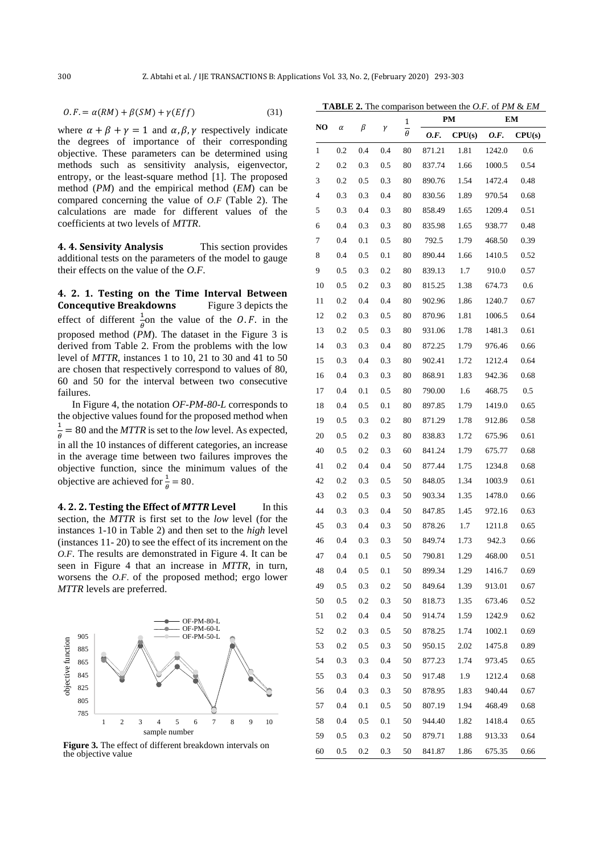$$
0.F. = \alpha(RM) + \beta(SM) + \gamma(Eff)
$$
\n(31)

where  $\alpha + \beta + \gamma = 1$  and  $\alpha, \beta, \gamma$  respectively indicate the degrees of importance of their corresponding objective. These parameters can be determined using methods such as sensitivity analysis, eigenvector, entropy, or the least-square method [1]. The proposed method (*PM*) and the empirical method (*EM*) can be compared concerning the value of *O.F* (Table 2). The calculations are made for different values of the coefficients at two levels of *MTTR*.

**4. 4. Sensivity Analysis** This section provides additional tests on the parameters of the model to gauge their effects on the value of the *O.F*.

**4. 2. 1. Testing on the Time Interval Between Concequtive Breakdowns** Figure 3 depicts the effect of different  $\frac{1}{\theta}$  on the value of the *O.F.* in the proposed method (*PM*). The dataset in the Figure 3 is derived from Table 2. From the problems with the low level of *MTTR*, instances 1 to 10, 21 to 30 and 41 to 50 are chosen that respectively correspond to values of 80, 60 and 50 for the interval between two consecutive failures.

In Figure 4, the notation *OF-PM-80-L* corresponds to the objective values found for the proposed method when 1  $\frac{1}{\theta}$  = 80 and the *MTTR* is set to the *low* level. As expected, in all the 10 instances of different categories, an increase in the average time between two failures improves the objective function, since the minimum values of the objective are achieved for  $\frac{1}{\theta} = 80$ .

**4. 2. 2. Testing the Effect of** *MTTR* **Level** In this section, the *MTTR* is first set to the *low* level (for the instances 1-10 in Table 2) and then set to the *high* level (instances 11- 20) to see the effect of its increment on the *O.F*. The results are demonstrated in Figure 4. It can be seen in Figure 4 that an increase in *MTTR*, in turn, worsens the *O.F*. of the proposed method; ergo lower *MTTR* levels are preferred.



**Figure 3.** The effect of different breakdown intervals on the objective value

| <b>TABLE 2.</b> The comparison between the <i>O.F.</i> of <i>PM &amp; EM</i> |  |  |
|------------------------------------------------------------------------------|--|--|
|------------------------------------------------------------------------------|--|--|

|    | α        | β        | γ        | 1<br>$\overline{\theta}$ | PM     |        | EM     |        |
|----|----------|----------|----------|--------------------------|--------|--------|--------|--------|
| NO |          |          |          |                          | 0.F.   | CPU(s) | 0.F.   | CPU(s) |
| 1  | 0.2      | 0.4      | 0.4      | 80                       | 871.21 | 1.81   | 1242.0 | 0.6    |
| 2  | 0.2      | 0.3      | 0.5      | 80                       | 837.74 | 1.66   | 1000.5 | 0.54   |
| 3  | 0.2      | 0.5      | 0.3      | 80                       | 890.76 | 1.54   | 1472.4 | 0.48   |
| 4  | 0.3      | 0.3      | 0.4      | 80                       | 830.56 | 1.89   | 970.54 | 0.68   |
| 5  | 0.3      | 0.4      | 0.3      | 80                       | 858.49 | 1.65   | 1209.4 | 0.51   |
| 6  | 0.4      | 0.3      | 0.3      | 80                       | 835.98 | 1.65   | 938.77 | 0.48   |
| 7  | 0.4      | $0.1\,$  | 0.5      | 80                       | 792.5  | 1.79   | 468.50 | 0.39   |
| 8  | 0.4      | 0.5      | 0.1      | 80                       | 890.44 | 1.66   | 1410.5 | 0.52   |
| 9  | 0.5      | 0.3      | 0.2      | 80                       | 839.13 | 1.7    | 910.0  | 0.57   |
| 10 | 0.5      | 0.2      | 0.3      | 80                       | 815.25 | 1.38   | 674.73 | 0.6    |
| 11 | $_{0.2}$ | 0.4      | 0.4      | 80                       | 902.96 | 1.86   | 1240.7 | 0.67   |
| 12 | 0.2      | 0.3      | 0.5      | 80                       | 870.96 | 1.81   | 1006.5 | 0.64   |
| 13 | 0.2      | 0.5      | 0.3      | 80                       | 931.06 | 1.78   | 1481.3 | 0.61   |
| 14 | 0.3      | 0.3      | 0.4      | 80                       | 872.25 | 1.79   | 976.46 | 0.66   |
| 15 | 0.3      | 0.4      | 0.3      | 80                       | 902.41 | 1.72   | 1212.4 | 0.64   |
| 16 | 0.4      | 0.3      | 0.3      | 80                       | 868.91 | 1.83   | 942.36 | 0.68   |
| 17 | 0.4      | 0.1      | 0.5      | 80                       | 790.00 | 1.6    | 468.75 | 0.5    |
| 18 | 0.4      | 0.5      | 0.1      | 80                       | 897.85 | 1.79   | 1419.0 | 0.65   |
| 19 | 0.5      | 0.3      | 0.2      | 80                       | 871.29 | 1.78   | 912.86 | 0.58   |
| 20 | 0.5      | 0.2      | 0.3      | 80                       | 838.83 | 1.72   | 675.96 | 0.61   |
| 40 | 0.5      | 0.2      | 0.3      | 60                       | 841.24 | 1.79   | 675.77 | 0.68   |
| 41 | 0.2      | 0.4      | 0.4      | 50                       | 877.44 | 1.75   | 1234.8 | 0.68   |
| 42 | $_{0.2}$ | 0.3      | 0.5      | 50                       | 848.05 | 1.34   | 1003.9 | 0.61   |
| 43 | 0.2      | 0.5      | 0.3      | 50                       | 903.34 | 1.35   | 1478.0 | 0.66   |
| 44 | 0.3      | 0.3      | 0.4      | 50                       | 847.85 | 1.45   | 972.16 | 0.63   |
| 45 | 0.3      | 0.4      | 0.3      | 50                       | 878.26 | 1.7    | 1211.8 | 0.65   |
| 46 | 0.4      | 0.3      | 0.3      | 50                       | 849.74 | 1.73   | 942.3  | 0.66   |
| 47 | 0.4      | $_{0.1}$ | 0.5      | 50                       | 790.81 | 1.29   | 468.00 | 0.51   |
| 48 | 0.4      | 0.5      | $_{0.1}$ | 50                       | 899.34 | 1.29   | 1416.7 | 0.69   |
| 49 | 0.5      | 0.3      | 0.2      | 50                       | 849.64 | 1.39   | 913.01 | 0.67   |
| 50 | 0.5      | 0.2      | 0.3      | 50                       | 818.73 | 1.35   | 673.46 | 0.52   |
| 51 | 0.2      | 0.4      | 0.4      | 50                       | 914.74 | 1.59   | 1242.9 | 0.62   |
| 52 | 0.2      | 0.3      | 0.5      | 50                       | 878.25 | 1.74   | 1002.1 | 0.69   |
| 53 | 0.2      | $0.5\,$  | 0.3      | 50                       | 950.15 | 2.02   | 1475.8 | 0.89   |
| 54 | 0.3      | 0.3      | 0.4      | 50                       | 877.23 | 1.74   | 973.45 | 0.65   |
| 55 | 0.3      | 0.4      | 0.3      | 50                       | 917.48 | 1.9    | 1212.4 | 0.68   |
| 56 | 0.4      | 0.3      | 0.3      | 50                       | 878.95 | 1.83   | 940.44 | 0.67   |
| 57 | 0.4      | 0.1      | 0.5      | 50                       | 807.19 | 1.94   | 468.49 | 0.68   |
| 58 | 0.4      | 0.5      | 0.1      | 50                       | 944.40 | 1.82   | 1418.4 | 0.65   |
| 59 | 0.5      | 0.3      | 0.2      | 50                       | 879.71 | 1.88   | 913.33 | 0.64   |
| 60 | 0.5      | 0.2      | 0.3      | 50                       | 841.87 | 1.86   | 675.35 | 0.66   |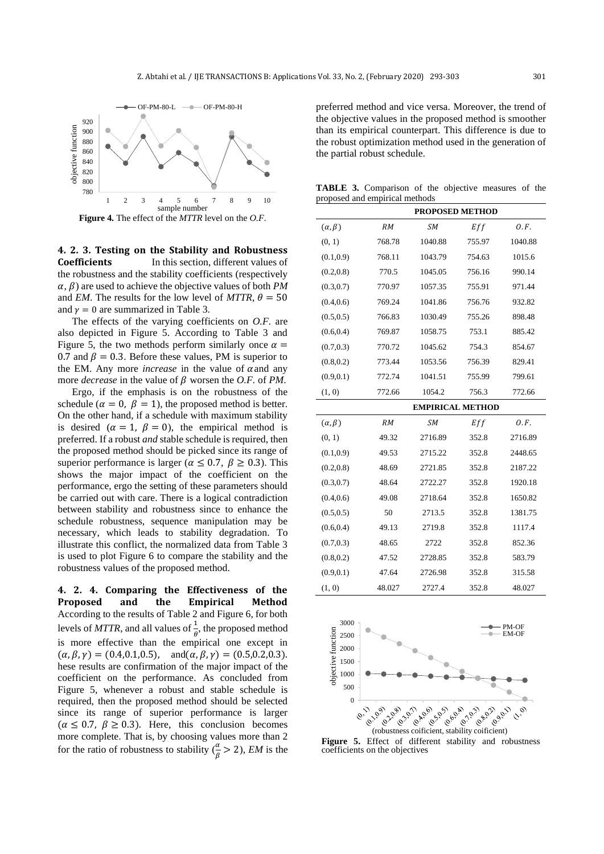

**Figure 4.** The effect of the *MTTR* level on the *O.F.*

**4. 2. 3. Testing on the Stability and Robustness Coefficients** In this section, different values of the robustness and the stability coefficients (respectively  $\alpha$ ,  $\beta$ ) are used to achieve the objective values of both *PM* and *EM*. The results for the low level of *MTTR*,  $\theta = 50$ and  $v = 0$  are summarized in Table 3.

The effects of the varying coefficients on *O.F.* are also depicted in Figure 5. According to Table 3 and Figure 5, the two methods perform similarly once  $\alpha$  = 0.7 and  $\beta = 0.3$ . Before these values, PM is superior to the EM. Any more *increase* in the value of  $\alpha$  and any more *decrease* in the value of  $\beta$  worsen the *O.F.* of *PM*.

Ergo, if the emphasis is on the robustness of the schedule ( $\alpha = 0$ ,  $\beta = 1$ ), the proposed method is better. On the other hand, if a schedule with maximum stability is desired ( $\alpha = 1$ ,  $\beta = 0$ ), the empirical method is preferred. If a robust *and* stable schedule is required, then the proposed method should be picked since its range of superior performance is larger ( $\alpha \leq 0.7$ ,  $\beta \geq 0.3$ ). This shows the major impact of the coefficient on the performance, ergo the setting of these parameters should be carried out with care. There is a logical contradiction between stability and robustness since to enhance the schedule robustness, sequence manipulation may be necessary, which leads to stability degradation. To illustrate this conflict, the normalized data from Table 3 is used to plot Figure 6 to compare the stability and the robustness values of the proposed method.

**4. 2. 4. Comparing the Effectiveness of the Proposed and the Empirical Method**  According to the results of Table 2 and Figure 6, for both levels of *MTTR*, and all values of  $\frac{1}{\theta}$ , the proposed method is more effective than the empirical one except in  $(\alpha, \beta, \gamma) = (0.4, 0.1, 0.5), \text{ and } (\alpha, \beta, \gamma) = (0.5, 0.2, 0.3).$ hese results are confirmation of the major impact of the coefficient on the performance. As concluded from Figure 5, whenever a robust and stable schedule is required, then the proposed method should be selected since its range of superior performance is larger  $(\alpha \leq 0.7, \beta \geq 0.3)$ . Here, this conclusion becomes more complete. That is, by choosing values more than 2 for the ratio of robustness to stability  $(\frac{\alpha}{\beta} > 2)$ , *EM* is the preferred method and vice versa. Moreover, the trend of the objective values in the proposed method is smoother than its empirical counterpart. This difference is due to the robust optimization method used in the generation of the partial robust schedule.

**TABLE 3.** Comparison of the objective measures of the proposed and empirical methods

|                   | <b>PROPOSED METHOD</b> |                         |        |         |  |  |
|-------------------|------------------------|-------------------------|--------|---------|--|--|
| $(\alpha, \beta)$ | RM                     | <b>SM</b>               | Eff    | O.F.    |  |  |
| (0, 1)            | 768.78                 | 1040.88                 | 755.97 | 1040.88 |  |  |
| (0.1, 0.9)        | 768.11                 | 1043.79                 | 754.63 | 1015.6  |  |  |
| (0.2, 0.8)        | 770.5                  | 1045.05                 | 756.16 | 990.14  |  |  |
| (0.3, 0.7)        | 770.97                 | 1057.35                 | 755.91 | 971.44  |  |  |
| (0.4, 0.6)        | 769.24                 | 1041.86                 | 756.76 | 932.82  |  |  |
| (0.5, 0.5)        | 766.83                 | 1030.49                 | 755.26 | 898.48  |  |  |
| (0.6, 0.4)        | 769.87                 | 1058.75                 | 753.1  | 885.42  |  |  |
| (0.7, 0.3)        | 770.72                 | 1045.62                 | 754.3  | 854.67  |  |  |
| (0.8, 0.2)        | 773.44                 | 1053.56                 | 756.39 | 829.41  |  |  |
| (0.9, 0.1)        | 772.74                 | 1041.51                 | 755.99 | 799.61  |  |  |
| (1, 0)            | 772.66                 | 1054.2                  | 756.3  | 772.66  |  |  |
|                   |                        | <b>EMPIRICAL METHOD</b> |        |         |  |  |
| $(\alpha, \beta)$ | RM                     | <b>SM</b>               | Eff    | O.F.    |  |  |
| (0, 1)            | 49.32                  | 2716.89                 | 352.8  | 2716.89 |  |  |
| (0.1, 0.9)        | 49.53                  | 2715.22                 | 352.8  | 2448.65 |  |  |
| (0.2, 0.8)        | 48.69                  | 2721.85                 | 352.8  | 2187.22 |  |  |
| (0.3, 0.7)        | 48.64                  | 2722.27                 | 352.8  | 1920.18 |  |  |
| (0.4, 0.6)        | 49.08                  | 2718.64                 | 352.8  | 1650.82 |  |  |
| (0.5, 0.5)        | 50                     | 2713.5                  | 352.8  | 1381.75 |  |  |
| (0.6, 0.4)        | 49.13                  | 2719.8                  | 352.8  | 1117.4  |  |  |
| (0.7, 0.3)        | 48.65                  | 2722                    | 352.8  | 852.36  |  |  |
| (0.8, 0.2)        | 47.52                  | 2728.85                 | 352.8  | 583.79  |  |  |
| (0.9, 0.1)        | 47.64                  | 2726.98                 | 352.8  | 315.58  |  |  |
| (1, 0)            | 48.027                 | 2727.4                  | 352.8  | 48.027  |  |  |



Figure 5. Effect of different stability and robustness coefficients on the objectives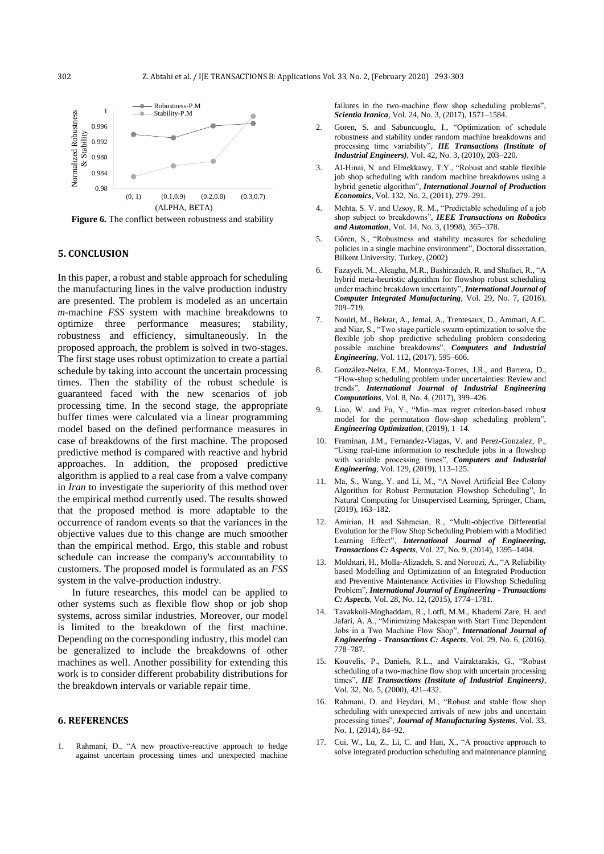

**Figure 6.** The conflict between robustness and stability

## **5. CONCLUSION**

In this paper, a robust and stable approach for scheduling the manufacturing lines in the valve production industry are presented. The problem is modeled as an uncertain *m*-machine *FSS* system with machine breakdowns to optimize three performance measures; stability, robustness and efficiency, simultaneously. In the proposed approach, the problem is solved in two-stages. The first stage uses robust optimization to create a partial schedule by taking into account the uncertain processing times. Then the stability of the robust schedule is guaranteed faced with the new scenarios of job processing time. In the second stage, the appropriate buffer times were calculated via a linear programming model based on the defined performance measures in case of breakdowns of the first machine. The proposed predictive method is compared with reactive and hybrid approaches. In addition, the proposed predictive algorithm is applied to a real case from a valve company in *Iran* to investigate the superiority of this method over the empirical method currently used. The results showed that the proposed method is more adaptable to the occurrence of random events so that the variances in the objective values due to this change are much smoother than the empirical method. Ergo, this stable and robust schedule can increase the company's accountability to customers. The proposed model is formulated as an *FSS* system in the valve-production industry.

In future researches, this model can be applied to other systems such as flexible flow shop or job shop systems, across similar industries. Moreover, our model is limited to the breakdown of the first machine. Depending on the corresponding industry, this model can be generalized to include the breakdowns of other machines as well. Another possibility for extending this work is to consider different probability distributions for the breakdown intervals or variable repair time.

## **6. REFERENCES**

1. Rahmani, D., "A new proactive-reactive approach to hedge against uncertain processing times and unexpected machine

failures in the two-machine flow shop scheduling problems", *Scientia Iranica*, Vol. 24, No. 3, (2017), 1571–1584.

- 2. Goren, S. and Sabuncuoglu, I., "Optimization of schedule robustness and stability under random machine breakdowns and processing time variability", *IIE Transactions (Institute of Industrial Engineers)*, Vol. 42, No. 3, (2010), 203–220.
- 3. Al-Hinai, N. and Elmekkawy, T.Y., "Robust and stable flexible job shop scheduling with random machine breakdowns using a hybrid genetic algorithm", *International Journal of Production Economics*, Vol. 132, No. 2, (2011), 279–291.
- Mehta, S. V. and Uzsoy, R. M., "Predictable scheduling of a job shop subject to breakdowns", *IEEE Transactions on Robotics and Automation*, Vol. 14, No. 3, (1998), 365–378.
- 5. Gören, S., "Robustness and stability measures for scheduling policies in a single machine environment", Doctoral dissertation, Bilkent University, Turkey, (2002)
- 6. Fazayeli, M., Aleagha, M.R., Bashirzadeh, R. and Shafaei, R., "A hybrid meta-heuristic algorithm for flowshop robust scheduling under machine breakdown uncertainty", *International Journal of Computer Integrated Manufacturing*, Vol. 29, No. 7, (2016), 709–719.
- 7. Nouiri, M., Bekrar, A., Jemai, A., Trentesaux, D., Ammari, A.C. and Niar, S., "Two stage particle swarm optimization to solve the flexible job shop predictive scheduling problem considering possible machine breakdowns", *Computers and Industrial Engineering*, Vol. 112, (2017), 595–606.
- 8. González-Neira, E.M., Montoya-Torres, J.R., and Barrera, D., "Flow-shop scheduling problem under uncertainties: Review and trends", *International Journal of Industrial Engineering Computations*, Vol. 8, No. 4, (2017), 399–426.
- 9. Liao, W. and Fu, Y., "Min–max regret criterion-based robust model for the permutation flow-shop scheduling problem", *Engineering Optimization*, (2019), 1–14.
- 10. Framinan, J.M., Fernandez-Viagas, V. and Perez-Gonzalez, P., "Using real-time information to reschedule jobs in a flowshop with variable processing times", *Computers and Industrial Engineering*, Vol. 129, (2019), 113–125.
- 11. Ma, S., Wang, Y. and Li, M., "A Novel Artificial Bee Colony Algorithm for Robust Permutation Flowshop Scheduling", In Natural Computing for Unsupervised Learning, Springer, Cham, (2019), 163–182.
- 12. Amirian, H. and Sahraeian, R., "Multi-objective Differential Evolution for the Flow Shop Scheduling Problem with a Modified Learning Effect", *International Journal of Engineering, Transactions C: Aspects*, Vol. 27, No. 9, (2014), 1395–1404.
- 13. Mokhtari, H., Molla-Alizadeh, S. and Noroozi, A., "A Reliability based Modelling and Optimization of an Integrated Production and Preventive Maintenance Activities in Flowshop Scheduling Problem", *International Journal of Engineering - Transactions C: Aspects*, Vol. 28, No. 12, (2015), 1774–1781.
- 14. Tavakkoli-Moghaddam, R., Lotfi, M.M., Khademi Zare, H. and Jafari, A. A., "Minimizing Makespan with Start Time Dependent Jobs in a Two Machine Flow Shop", *International Journal of Engineering - Transactions C: Aspects*, Vol. 29, No. 6, (2016), 778–787.
- 15. Kouvelis, P., Daniels, R.L., and Vairaktarakis, G., "Robust scheduling of a two-machine flow shop with uncertain processing times", *IIE Transactions (Institute of Industrial Engineers)*, Vol. 32, No. 5, (2000), 421–432.
- 16. Rahmani, D. and Heydari, M., "Robust and stable flow shop scheduling with unexpected arrivals of new jobs and uncertain processing times", *Journal of Manufacturing Systems*, Vol. 33, No. 1, (2014), 84–92.
- 17. Cui, W., Lu, Z., Li, C. and Han, X., "A proactive approach to solve integrated production scheduling and maintenance planning